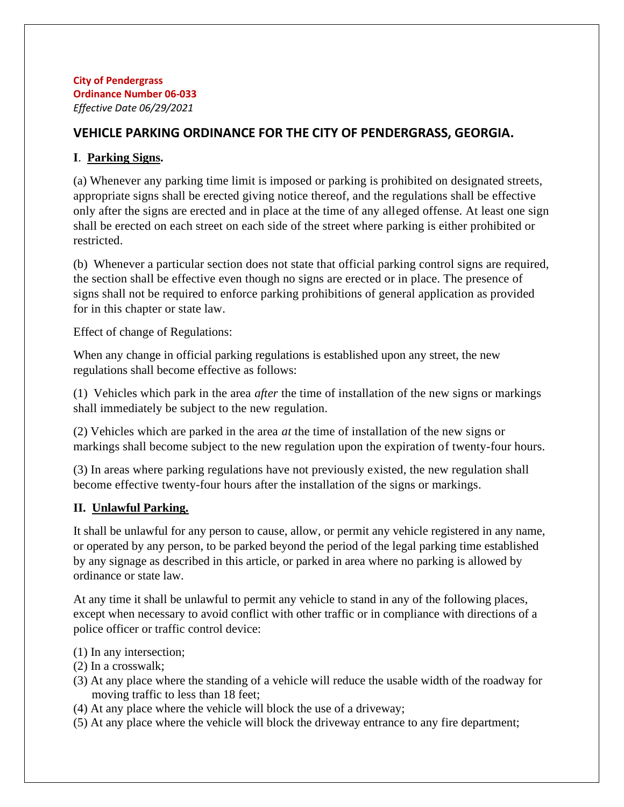#### **City of Pendergrass Ordinance Number 06-033** *Effective Date 06/29/2021*

# **VEHICLE PARKING ORDINANCE FOR THE CITY OF PENDERGRASS, GEORGIA.**

## **I**. **Parking Signs.**

(a) Whenever any parking time limit is imposed or parking is prohibited on designated streets, appropriate signs shall be erected giving notice thereof, and the regulations shall be effective only after the signs are erected and in place at the time of any alleged offense. At least one sign shall be erected on each street on each side of the street where parking is either prohibited or restricted.

(b) Whenever a particular section does not state that official parking control signs are required, the section shall be effective even though no signs are erected or in place. The presence of signs shall not be required to enforce parking prohibitions of general application as provided for in this chapter or state law.

Effect of change of Regulations:

When any change in official parking regulations is established upon any street, the new regulations shall become effective as follows:

(1) Vehicles which park in the area *after* the time of installation of the new signs or markings shall immediately be subject to the new regulation.

(2) Vehicles which are parked in the area *at* the time of installation of the new signs or markings shall become subject to the new regulation upon the expiration of twenty-four hours.

(3) In areas where parking regulations have not previously existed, the new regulation shall become effective twenty-four hours after the installation of the signs or markings.

# **II. Unlawful Parking.**

It shall be unlawful for any person to cause, allow, or permit any vehicle registered in any name, or operated by any person, to be parked beyond the period of the legal parking time established by any signage as described in this article, or parked in area where no parking is allowed by ordinance or state law.

At any time it shall be unlawful to permit any vehicle to stand in any of the following places, except when necessary to avoid conflict with other traffic or in compliance with directions of a police officer or traffic control device:

- (1) In any intersection;
- (2) In a crosswalk;
- (3) At any place where the standing of a vehicle will reduce the usable width of the roadway for moving traffic to less than 18 feet;
- (4) At any place where the vehicle will block the use of a driveway;
- (5) At any place where the vehicle will block the driveway entrance to any fire department;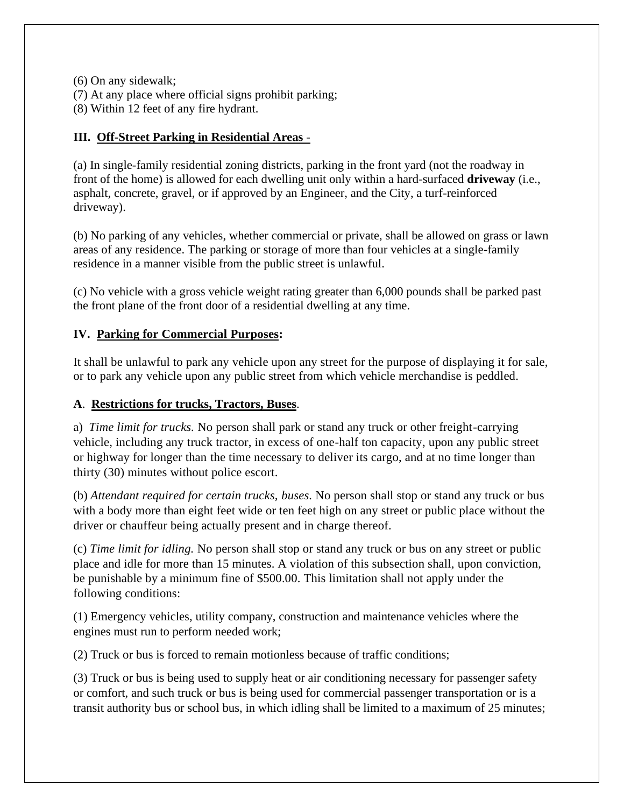(6) On any sidewalk;

(7) At any place where official signs prohibit parking;

(8) Within 12 feet of any fire hydrant.

## **III. Off-Street Parking in Residential Areas** -

(a) In single-family residential zoning districts, parking in the front yard (not the roadway in front of the home) is allowed for each dwelling unit only within a hard-surfaced **driveway** (i.e., asphalt, concrete, gravel, or if approved by an Engineer, and the City, a turf-reinforced driveway).

(b) No parking of any vehicles, whether commercial or private, shall be allowed on grass or lawn areas of any residence. The parking or storage of more than four vehicles at a single-family residence in a manner visible from the public street is unlawful.

(c) No vehicle with a gross vehicle weight rating greater than 6,000 pounds shall be parked past the front plane of the front door of a residential dwelling at any time.

#### **IV. Parking for Commercial Purposes:**

It shall be unlawful to park any vehicle upon any street for the purpose of displaying it for sale, or to park any vehicle upon any public street from which vehicle merchandise is peddled.

#### **A**. **Restrictions for trucks, Tractors, Buses**.

a) *Time limit for trucks.* No person shall park or stand any truck or other freight-carrying vehicle, including any truck tractor, in excess of one-half ton capacity, upon any public street or highway for longer than the time necessary to deliver its cargo, and at no time longer than thirty (30) minutes without police escort.

(b) *Attendant required for certain trucks, buses.* No person shall stop or stand any truck or bus with a body more than eight feet wide or ten feet high on any street or public place without the driver or chauffeur being actually present and in charge thereof.

(c) *Time limit for idling.* No person shall stop or stand any truck or bus on any street or public place and idle for more than 15 minutes. A violation of this subsection shall, upon conviction, be punishable by a minimum fine of \$500.00. This limitation shall not apply under the following conditions:

(1) Emergency vehicles, utility company, construction and maintenance vehicles where the engines must run to perform needed work;

(2) Truck or bus is forced to remain motionless because of traffic conditions;

(3) Truck or bus is being used to supply heat or air conditioning necessary for passenger safety or comfort, and such truck or bus is being used for commercial passenger transportation or is a transit authority bus or school bus, in which idling shall be limited to a maximum of 25 minutes;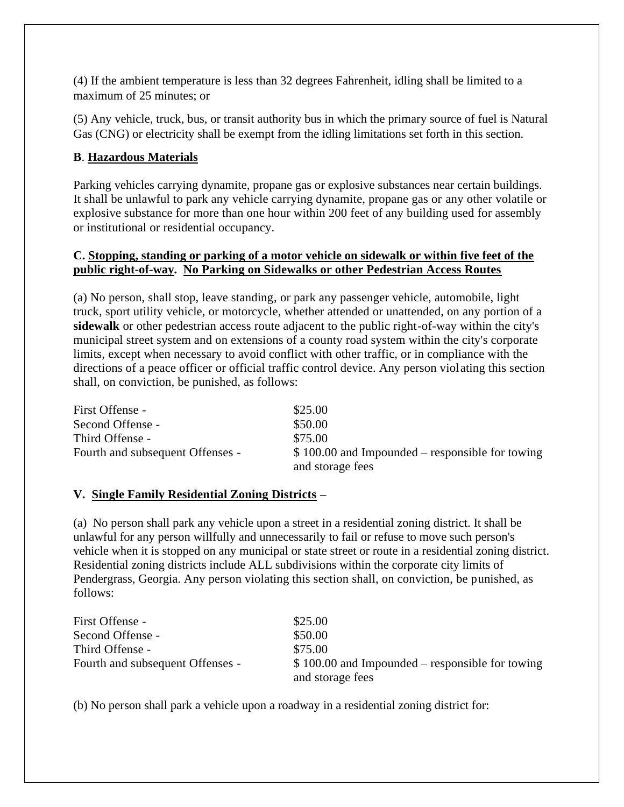(4) If the ambient temperature is less than 32 degrees Fahrenheit, idling shall be limited to a maximum of 25 minutes; or

(5) Any vehicle, truck, bus, or transit authority bus in which the primary source of fuel is Natural Gas (CNG) or electricity shall be exempt from the idling limitations set forth in this section.

#### **B**. **Hazardous Materials**

Parking vehicles carrying dynamite, propane gas or explosive substances near certain buildings. It shall be unlawful to park any vehicle carrying dynamite, propane gas or any other volatile or explosive substance for more than one hour within 200 feet of any building used for assembly or institutional or residential occupancy.

#### **C. Stopping, standing or parking of a motor vehicle on sidewalk or within five feet of the public right-of-way. No Parking on Sidewalks or other Pedestrian Access Routes**

(a) No person, shall stop, leave standing, or park any passenger vehicle, automobile, light truck, sport utility vehicle, or motorcycle, whether attended or unattended, on any portion of a **sidewalk** or other pedestrian access route adjacent to the public right-of-way within the city's municipal street system and on extensions of a county road system within the city's corporate limits, except when necessary to avoid conflict with other traffic, or in compliance with the directions of a peace officer or official traffic control device. Any person violating this section shall, on conviction, be punished, as follows:

| First Offense -                  | \$25.00                                                              |
|----------------------------------|----------------------------------------------------------------------|
| Second Offense -                 | \$50.00                                                              |
| Third Offense -                  | \$75.00                                                              |
| Fourth and subsequent Offenses - | $$100.00$ and Impounded – responsible for towing<br>and storage fees |

#### **V. Single Family Residential Zoning Districts –**

(a) No person shall park any vehicle upon a street in a residential zoning district. It shall be unlawful for any person willfully and unnecessarily to fail or refuse to move such person's vehicle when it is stopped on any municipal or state street or route in a residential zoning district. Residential zoning districts include ALL subdivisions within the corporate city limits of Pendergrass, Georgia. Any person violating this section shall, on conviction, be punished, as follows:

| First Offense -                  | \$25.00                                                              |
|----------------------------------|----------------------------------------------------------------------|
| Second Offense -                 | \$50.00                                                              |
| Third Offense -                  | \$75.00                                                              |
| Fourth and subsequent Offenses - | $$100.00$ and Impounded – responsible for towing<br>and storage fees |

(b) No person shall park a vehicle upon a roadway in a residential zoning district for: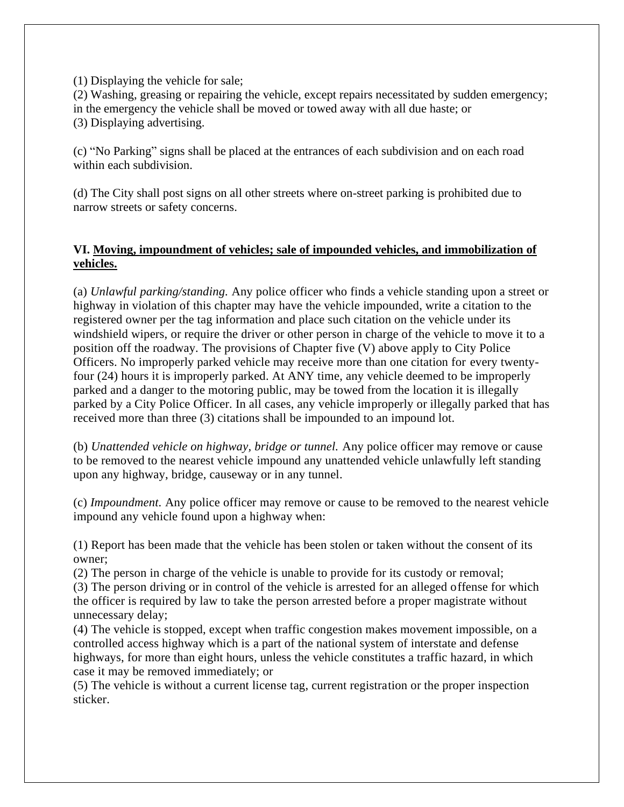(1) Displaying the vehicle for sale;

(2) Washing, greasing or repairing the vehicle, except repairs necessitated by sudden emergency; in the emergency the vehicle shall be moved or towed away with all due haste; or (3) Displaying advertising.

(c) "No Parking" signs shall be placed at the entrances of each subdivision and on each road within each subdivision.

(d) The City shall post signs on all other streets where on-street parking is prohibited due to narrow streets or safety concerns.

#### **VI. Moving, impoundment of vehicles; sale of impounded vehicles, and immobilization of vehicles.**

(a) *Unlawful parking/standing.* Any police officer who finds a vehicle standing upon a street or highway in violation of this chapter may have the vehicle impounded, write a citation to the registered owner per the tag information and place such citation on the vehicle under its windshield wipers, or require the driver or other person in charge of the vehicle to move it to a position off the roadway. The provisions of Chapter five (V) above apply to City Police Officers. No improperly parked vehicle may receive more than one citation for every twentyfour (24) hours it is improperly parked. At ANY time, any vehicle deemed to be improperly parked and a danger to the motoring public, may be towed from the location it is illegally parked by a City Police Officer. In all cases, any vehicle improperly or illegally parked that has received more than three (3) citations shall be impounded to an impound lot.

(b) *Unattended vehicle on highway, bridge or tunnel.* Any police officer may remove or cause to be removed to the nearest vehicle impound any unattended vehicle unlawfully left standing upon any highway, bridge, causeway or in any tunnel.

(c) *Impoundment.* Any police officer may remove or cause to be removed to the nearest vehicle impound any vehicle found upon a highway when:

(1) Report has been made that the vehicle has been stolen or taken without the consent of its owner;

(2) The person in charge of the vehicle is unable to provide for its custody or removal;

(3) The person driving or in control of the vehicle is arrested for an alleged offense for which the officer is required by law to take the person arrested before a proper magistrate without unnecessary delay;

(4) The vehicle is stopped, except when traffic congestion makes movement impossible, on a controlled access highway which is a part of the national system of interstate and defense highways, for more than eight hours, unless the vehicle constitutes a traffic hazard, in which case it may be removed immediately; or

(5) The vehicle is without a current license tag, current registration or the proper inspection sticker.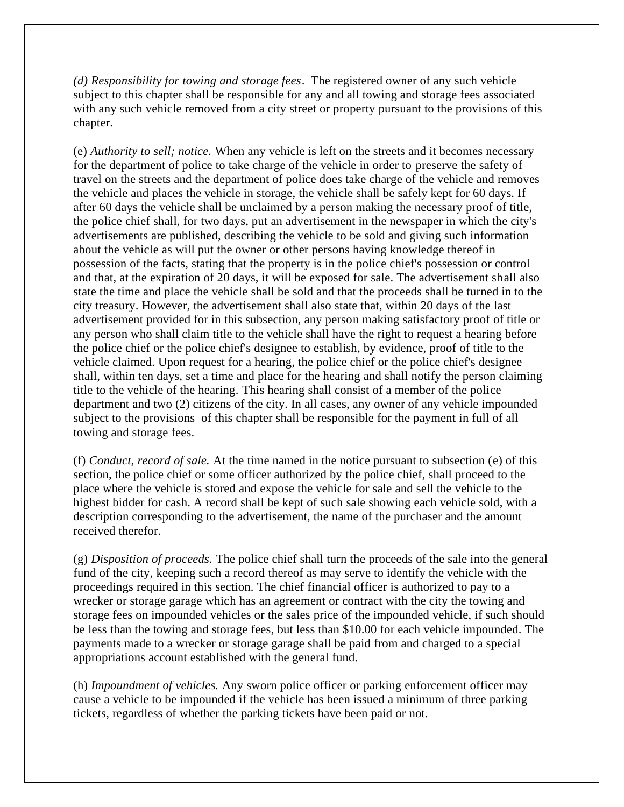*(d) Responsibility for towing and storage fees*. The registered owner of any such vehicle subject to this chapter shall be responsible for any and all towing and storage fees associated with any such vehicle removed from a city street or property pursuant to the provisions of this chapter.

(e) *Authority to sell; notice.* When any vehicle is left on the streets and it becomes necessary for the department of police to take charge of the vehicle in order to preserve the safety of travel on the streets and the department of police does take charge of the vehicle and removes the vehicle and places the vehicle in storage, the vehicle shall be safely kept for 60 days. If after 60 days the vehicle shall be unclaimed by a person making the necessary proof of title, the police chief shall, for two days, put an advertisement in the newspaper in which the city's advertisements are published, describing the vehicle to be sold and giving such information about the vehicle as will put the owner or other persons having knowledge thereof in possession of the facts, stating that the property is in the police chief's possession or control and that, at the expiration of 20 days, it will be exposed for sale. The advertisement shall also state the time and place the vehicle shall be sold and that the proceeds shall be turned in to the city treasury. However, the advertisement shall also state that, within 20 days of the last advertisement provided for in this subsection, any person making satisfactory proof of title or any person who shall claim title to the vehicle shall have the right to request a hearing before the police chief or the police chief's designee to establish, by evidence, proof of title to the vehicle claimed. Upon request for a hearing, the police chief or the police chief's designee shall, within ten days, set a time and place for the hearing and shall notify the person claiming title to the vehicle of the hearing. This hearing shall consist of a member of the police department and two (2) citizens of the city. In all cases, any owner of any vehicle impounded subject to the provisions of this chapter shall be responsible for the payment in full of all towing and storage fees.

(f) *Conduct, record of sale.* At the time named in the notice pursuant to subsection (e) of this section, the police chief or some officer authorized by the police chief, shall proceed to the place where the vehicle is stored and expose the vehicle for sale and sell the vehicle to the highest bidder for cash. A record shall be kept of such sale showing each vehicle sold, with a description corresponding to the advertisement, the name of the purchaser and the amount received therefor.

(g) *Disposition of proceeds.* The police chief shall turn the proceeds of the sale into the general fund of the city, keeping such a record thereof as may serve to identify the vehicle with the proceedings required in this section. The chief financial officer is authorized to pay to a wrecker or storage garage which has an agreement or contract with the city the towing and storage fees on impounded vehicles or the sales price of the impounded vehicle, if such should be less than the towing and storage fees, but less than \$10.00 for each vehicle impounded. The payments made to a wrecker or storage garage shall be paid from and charged to a special appropriations account established with the general fund.

(h) *Impoundment of vehicles.* Any sworn police officer or parking enforcement officer may cause a vehicle to be impounded if the vehicle has been issued a minimum of three parking tickets, regardless of whether the parking tickets have been paid or not.